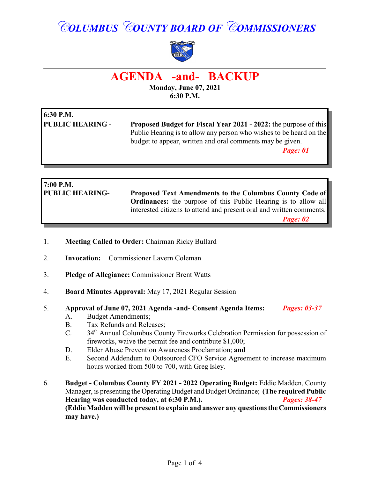# *COLUMBUS COUNTY BOARD OF COMMISSIONERS*



## **AGENDA -and- BACKUP**

**Monday, June 07, 2021 6:30 P.M.**

| 6:30 P.M.               |                                                                         |  |
|-------------------------|-------------------------------------------------------------------------|--|
| <b>PUBLIC HEARING -</b> | <b>Proposed Budget for Fiscal Year 2021 - 2022:</b> the purpose of this |  |
|                         | Public Hearing is to allow any person who wishes to be heard on the     |  |
|                         | budget to appear, written and oral comments may be given.               |  |
|                         | Page: 01                                                                |  |
|                         |                                                                         |  |

| $7:00$ P.M.            |                                                                       |
|------------------------|-----------------------------------------------------------------------|
| <b>PUBLIC HEARING-</b> | <b>Proposed Text Amendments to the Columbus County Code of</b>        |
|                        | <b>Ordinances:</b> the purpose of this Public Hearing is to allow all |
|                        | interested citizens to attend and present oral and written comments.  |
|                        | Page: 02                                                              |

- 1. **Meeting Called to Order:** Chairman Ricky Bullard
- 2. **Invocation:** Commissioner Lavern Coleman
- 3. **Pledge of Allegiance:** Commissioner Brent Watts
- 4. **Board Minutes Approval:** May 17, 2021 Regular Session
- 5. **Approval of June 07, 2021 Agenda -and- Consent Agenda Items:** *Pages: 03-37*  A. Budget Amendments;
	- B. Tax Refunds and Releases;
	- C. 34<sup>th</sup> Annual Columbus County Fireworks Celebration Permission for possession of fireworks, waive the permit fee and contribute \$1,000;
	- D. Elder Abuse Prevention Awareness Proclamation; **and**
	- E. Second Addendum to Outsourced CFO Service Agreement to increase maximum hours worked from 500 to 700, with Greg Isley.
- 6. **Budget Columbus County FY 2021 2022 Operating Budget:** Eddie Madden, County Manager, is presenting the Operating Budget and Budget Ordinance; **(The required Public**) **Hearing was conducted today, at 6:30 P.M.).** *Pages: 38-47* **(Eddie Madden will be present to explain and answer any questions the Commissioners may have.)**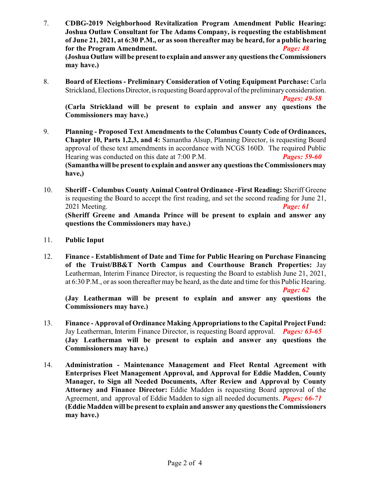- 7. **CDBG-2019 Neighborhood Revitalization Program Amendment Public Hearing: Joshua Outlaw Consultant for The Adams Company, is requesting the establishment of June 21, 2021, at 6:30 P.M., or as soon thereafter may be heard, for a public hearing for the Program Amendment.** *Page: 48* **(Joshua Outlaw will be present to explain and answer any questions the Commissioners may have.)**
- 8. **Board of Elections Preliminary Consideration of Voting Equipment Purchase:** Carla Strickland, Elections Director, is requesting Board approval of the preliminary consideration.

*Pages: 49-58* 

**(Carla Strickland will be present to explain and answer any questions the Commissioners may have.)**

- 9. **Planning Proposed Text Amendments to the Columbus County Code of Ordinances, Chapter 10, Parts 1,2,3, and 4:** Samantha Alsup, Planning Director, is requesting Board approval of these text amendments in accordance with NCGS 160D. The required Public Hearing was conducted on this date at 7:00 P.M. *Pages: 59-60* **(Samanthawill be present to explain and answer any questions the Commissioners may have,)**
- 10. **Sheriff Columbus County Animal Control Ordinance -First Reading:** Sheriff Greene is requesting the Board to accept the first reading, and set the second reading for June 21, 2021 Meeting. *Page: 61* **(Sheriff Greene and Amanda Prince will be present to explain and answer any questions the Commissioners may have.)**
- 11. **Public Input**
- 12. **Finance Establishment of Date and Time for Public Hearing on Purchase Financing of the Truist/BB&T North Campus and Courthouse Branch Properties:** Jay Leatherman, Interim Finance Director, is requesting the Board to establish June 21, 2021, at 6:30 P.M., or as soon thereafter may be heard, as the date and time for this Public Hearing.

*Page: 62*

**(Jay Leatherman will be present to explain and answer any questions the Commissioners may have.)**

- 13. **Finance Approval of Ordinance Making Appropriations to the Capital Project Fund:** Jay Leatherman, Interim Finance Director, is requesting Board approval. *Pages: 63-65* **(Jay Leatherman will be present to explain and answer any questions the Commissioners may have.)**
- 14. **Administration - Maintenance Management and Fleet Rental Agreement with Enterprises Fleet Management Approval, and Approval for Eddie Madden, County Manager, to Sign all Needed Documents, After Review and Approval by County Attorney and Finance Director:** Eddie Madden is requesting Board approval of the Agreement, and approval of Eddie Madden to sign all needed documents. *Pages: 66-71* **(Eddie Madden will be present to explain and answer any questions the Commissioners may have.)**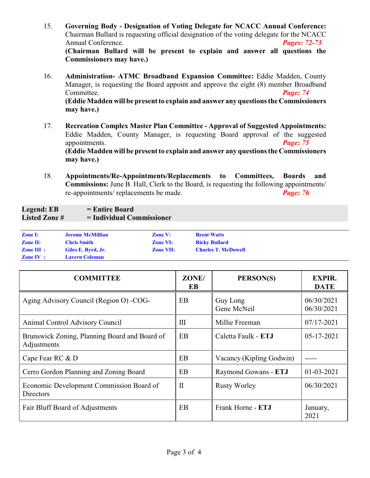- 15. **Governing Body Designation of Voting Delegate for NCACC Annual Conference:** Chairman Bullard is requesting official designation of the voting delegate for the NCACC Annual Conference. *Pages: 72-73* **(Chairman Bullard will be present to explain and answer all questions the Commissioners may have.)**
- 16. **Administration- ATMC Broadband Expansion Committee:** Eddie Madden, County Manager, is requesting the Board appoint and approve the eight (8) member Broadband Committee. *Page: 74* **(Eddie Madden will be present to explain and answer any questions the Commissioners may have.)**
- 17. **Recreation Complex Master Plan Committee Approval of Suggested Appointments:** Eddie Madden, County Manager, is requesting Board approval of the suggested appointments. *Page: 75* **(Eddie Madden will be present to explain and answer any questions the Commissioners may have.)**
- 18. **Appointments/Re-Appointments/Replacements to Committees, Boards and Commissions:** June B. Hall, Clerk to the Board, is requesting the following appointments/ re-appointments/ replacements be made. *Page: 76*

#### Legend: EB = Entire Board **Listed Zone # = Individual Commissioner**

| <b>Zone I:</b>        | <b>Jerome McMillian</b> | <b>Zone V:</b>   | <b>Brent Watts</b>         |
|-----------------------|-------------------------|------------------|----------------------------|
| <b>Zone II:</b>       | <b>Chris Smith</b>      | <b>Zone VI:</b>  | <b>Ricky Bullard</b>       |
| $\mathbf{Zone}$ III : | Giles E. Byrd, Jr.      | <b>Zone VII:</b> | <b>Charles T. McDowell</b> |
| <b>Zone IV</b> :      | <b>Lavern Coleman</b>   |                  |                            |

| <b>COMMITTEE</b>                                             | ZONE/<br>EB        | PERSON(S)                | <b>EXPIR.</b><br><b>DATE</b> |
|--------------------------------------------------------------|--------------------|--------------------------|------------------------------|
| Aging Advisory Council (Region O) - COG-                     | EB                 | Guy Long<br>Gene McNeil  | 06/30/2021<br>06/30/2021     |
| Animal Control Advisory Council                              | $\mathop{\rm III}$ | Millie Freeman           | 07/17-2021                   |
| Brunswick Zoning, Planning Board and Board of<br>Adjustments | EB                 | Caletta Faulk - ETJ      | $05 - 17 - 2021$             |
| Cape Fear RC & D                                             | EB                 | Vacancy (Kipling Godwin) |                              |
| Cerro Gordon Planning and Zoning Board                       | EB                 | Raymond Gowans - ETJ     | $01 - 03 - 2021$             |
| Economic Development Commission Board of<br><b>Directors</b> | $\mathbf{I}$       | <b>Rusty Worley</b>      | 06/30/2021                   |
| Fair Bluff Board of Adjustments                              | EB                 | Frank Horne - ETJ        | January,<br>2021             |